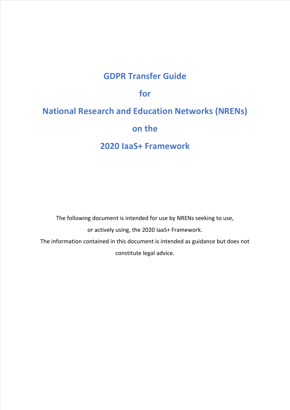## **GDPR Transfer Guide**

### **for**

# **National Research and Education Networks (NRENs) on the**

## **2020 IaaS+ Framework**

The following document is intended for use by NRENs seeking to use, or actively using, the 2020 IaaS+ Framework. The information contained in this document is intended as guidance but does not constitute legal advice.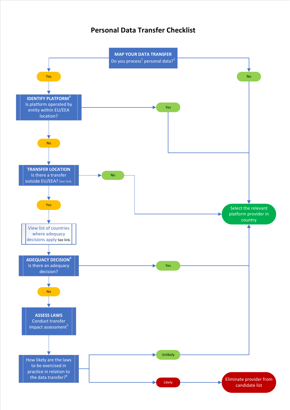#### **Personal Data Transfer Checklist**

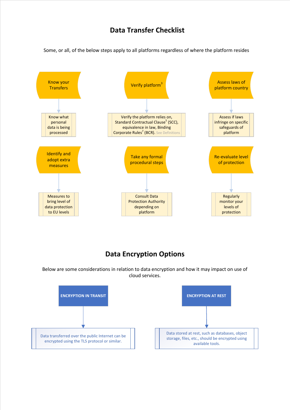#### **Data Transfer Checklist**

Some, or all, of the below steps apply to all platforms regardless of where the platform resides



#### **Data Encryption Options**

Below are some considerations in relation to data encryption and how it may impact on use of cloud services.

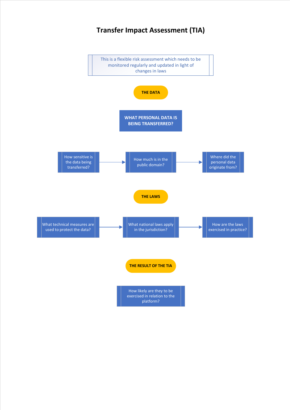## **Transfer Impact Assessment (TIA)**